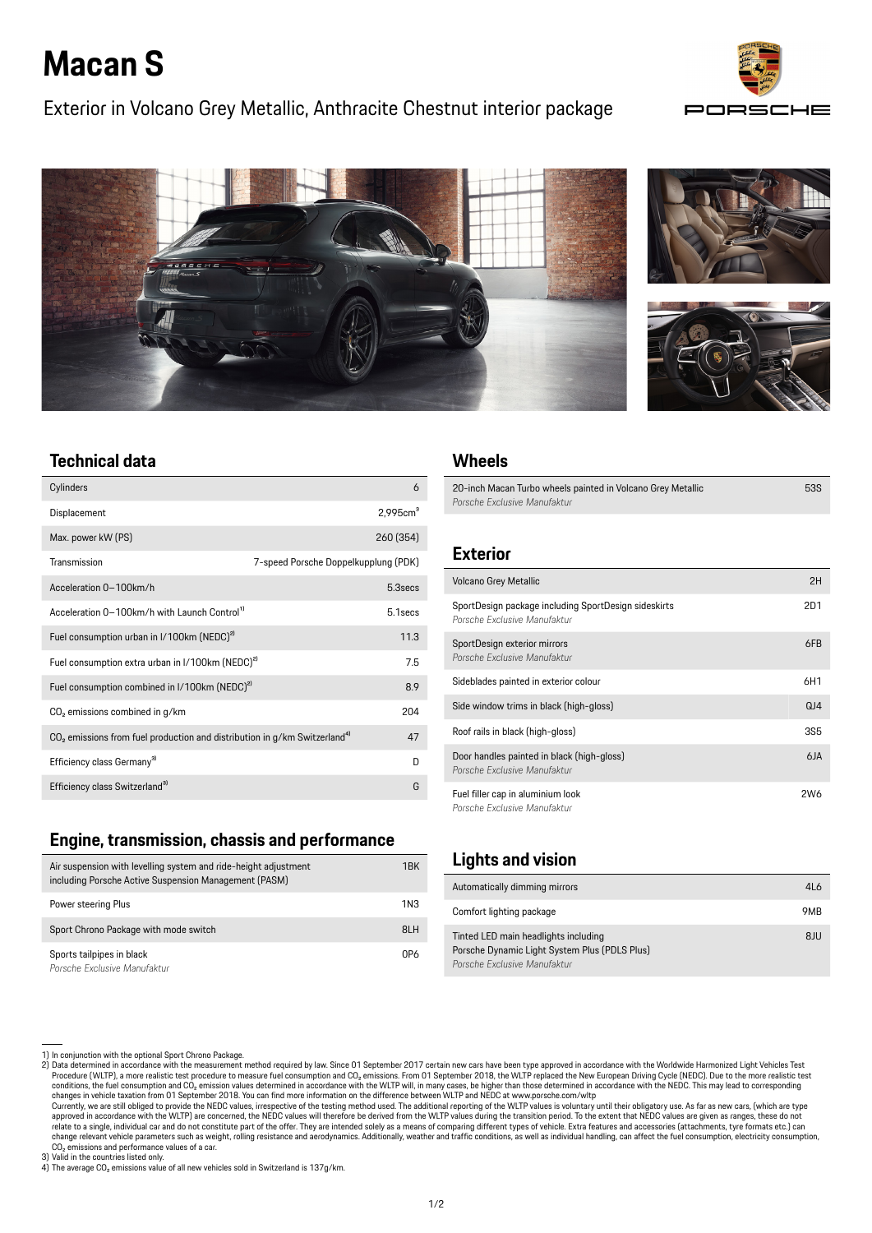# **Macan S**

# Exterior in Volcano Grey Metallic, Anthracite Chestnut interior package





# **Technical data**

| Cylinders                                                                               | 6                                    |
|-----------------------------------------------------------------------------------------|--------------------------------------|
| Displacement                                                                            | 2.995cm <sup>3</sup>                 |
| Max. power kW (PS)                                                                      | 260 (354)                            |
| Transmission                                                                            | 7-speed Porsche Doppelkupplung (PDK) |
| Acceleration 0-100km/h                                                                  | 5.3secs                              |
| Acceleration 0-100km/h with Launch Control <sup>1)</sup>                                | 5.1 secs                             |
| Fuel consumption urban in I/100km (NEDC) <sup>2)</sup>                                  | 11.3                                 |
| Fuel consumption extra urban in I/100km (NEDC) <sup>2)</sup>                            | 75                                   |
| Fuel consumption combined in I/100km (NEDC) <sup>2)</sup>                               | 8.9                                  |
| CO <sub>2</sub> emissions combined in g/km                                              | 204                                  |
| $CO2$ emissions from fuel production and distribution in g/km Switzerland <sup>4)</sup> | 47                                   |
| Efficiency class Germany <sup>31</sup>                                                  | D                                    |
| Efficiency class Switzerland <sup>3)</sup>                                              | G                                    |

#### **Engine, transmission, chassis and performance**

| Air suspension with levelling system and ride-height adjustment<br>including Porsche Active Suspension Management (PASM) | 1BK |
|--------------------------------------------------------------------------------------------------------------------------|-----|
| Power steering Plus                                                                                                      | 1N3 |
| Sport Chrono Package with mode switch                                                                                    | 8LH |
| Sports tailpipes in black<br>Porsche Exclusive Manufaktur                                                                | 0P6 |

#### **Wheels**

20-inch Macan Turbo wheels painted in Volcano Grey Metallic *Porsche Exclusive Manufaktur* 53S

# **Exterior**

| <b>Volcano Grey Metallic</b>                                                         | 2H              |
|--------------------------------------------------------------------------------------|-----------------|
| SportDesign package including SportDesign sideskirts<br>Porsche Exclusive Manufaktur | 2D1             |
| SportDesign exterior mirrors<br>Porsche Exclusive Manufaktur                         | 6FB             |
| Sideblades painted in exterior colour                                                | 6H1             |
| Side window trims in black (high-gloss)                                              | QJ4             |
| Roof rails in black (high-gloss)                                                     | <b>3S5</b>      |
| Door handles painted in black (high-gloss)<br>Porsche Exclusive Manufaktur           | 6JA             |
| Fuel filler cap in aluminium look<br>Porsche Exclusive Manufaktur                    | 2W <sub>6</sub> |

# **Lights and vision**

| Automatically dimming mirrors                                                                                         | 4L6 |
|-----------------------------------------------------------------------------------------------------------------------|-----|
| Comfort lighting package                                                                                              | 9MB |
| Tinted LED main headlights including<br>Porsche Dynamic Light System Plus (PDLS Plus)<br>Porsche Exclusive Manufaktur | 8JU |

<sup>1)</sup> In conjunction with the optional Sport Chrono Package.<br>Procedure the measurement method required by law. Since 01 September 2017 certain new cars have been type approved in accordance with the Worldwide Harmonized Light changes in vehicle taxation from 01 September 2018. You can find more information on the difference between WLTP and NEDC at www.porsche.com/wltp<br>Currently, we are still obliged to provide the NEDC values, irrespective of

approved in accordance with the WLTP) are concerned, the NEDC values will therefore be derived from the WLTP values during the transition period. To the extent that NEDC values are given as ranges, these do not<br>relate to a change relevant vehicle parameters such as weight, rolling resistance and aerodynamics. Additionally, weather and traffic conditions, as well as individual handling, can affect the fuel consumption, electricity consumption CO<sub>2</sub> emissions and performance values of a car.

<sup>3)</sup> Valid in the countries listed only.<br>4) The average CO<sub>2</sub> emissions value of all new vehicles sold in Switzerland is 137g/km.